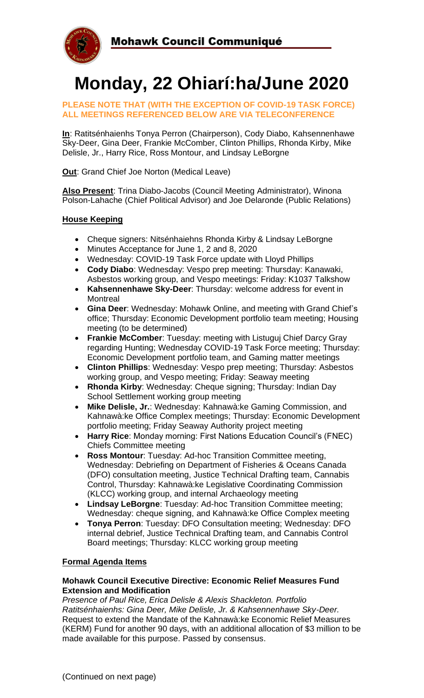

# **Monday, 22 Ohiarí:ha/June 2020**

**PLEASE NOTE THAT (WITH THE EXCEPTION OF COVID-19 TASK FORCE) ALL MEETINGS REFERENCED BELOW ARE VIA TELECONFERENCE**

**In**: Ratitsénhaienhs Tonya Perron (Chairperson), Cody Diabo, Kahsennenhawe Sky-Deer, Gina Deer, Frankie McComber, Clinton Phillips, Rhonda Kirby, Mike Delisle, Jr., Harry Rice, Ross Montour, and Lindsay LeBorgne

**Out**: Grand Chief Joe Norton (Medical Leave)

**Also Present**: Trina Diabo-Jacobs (Council Meeting Administrator), Winona Polson-Lahache (Chief Political Advisor) and Joe Delaronde (Public Relations)

## **House Keeping**

- Cheque signers: Nitsénhaiehns Rhonda Kirby & Lindsay LeBorgne
- Minutes Acceptance for June 1, 2 and 8, 2020
- Wednesday: COVID-19 Task Force update with Lloyd Phillips
- **Cody Diabo**: Wednesday: Vespo prep meeting: Thursday: Kanawaki, Asbestos working group, and Vespo meetings: Friday: K1037 Talkshow
- **Kahsennenhawe Sky-Deer**: Thursday: welcome address for event in **Montreal**
- **Gina Deer**: Wednesday: Mohawk Online, and meeting with Grand Chief's office; Thursday: Economic Development portfolio team meeting; Housing meeting (to be determined)
- **Frankie McComber**: Tuesday: meeting with Listuguj Chief Darcy Gray regarding Hunting; Wednesday COVID-19 Task Force meeting; Thursday: Economic Development portfolio team, and Gaming matter meetings
- **Clinton Phillips**: Wednesday: Vespo prep meeting; Thursday: Asbestos working group, and Vespo meeting; Friday: Seaway meeting
- **Rhonda Kirby**: Wednesday: Cheque signing; Thursday: Indian Day School Settlement working group meeting
- **Mike Delisle, Jr.**: Wednesday: Kahnawà:ke Gaming Commission, and Kahnawà:ke Office Complex meetings; Thursday: Economic Development portfolio meeting; Friday Seaway Authority project meeting
- **Harry Rice**: Monday morning: First Nations Education Council's (FNEC) Chiefs Committee meeting
- **Ross Montour**: Tuesday: Ad-hoc Transition Committee meeting, Wednesday: Debriefing on Department of Fisheries & Oceans Canada (DFO) consultation meeting, Justice Technical Drafting team, Cannabis Control, Thursday: Kahnawà:ke Legislative Coordinating Commission (KLCC) working group, and internal Archaeology meeting
- **Lindsay LeBorgne**: Tuesday: Ad-hoc Transition Committee meeting; Wednesday: cheque signing, and Kahnawà:ke Office Complex meeting
- **Tonya Perron**: Tuesday: DFO Consultation meeting; Wednesday: DFO internal debrief, Justice Technical Drafting team, and Cannabis Control Board meetings; Thursday: KLCC working group meeting

## **Formal Agenda Items**

#### **Mohawk Council Executive Directive: Economic Relief Measures Fund Extension and Modification**

*Presence of Paul Rice, Erica Delisle & Alexis Shackleton. Portfolio Ratitsénhaienhs: Gina Deer, Mike Delisle, Jr. & Kahsennenhawe Sky-Deer.*  Request to extend the Mandate of the Kahnawà:ke Economic Relief Measures (KERM) Fund for another 90 days, with an additional allocation of \$3 million to be made available for this purpose. Passed by consensus.